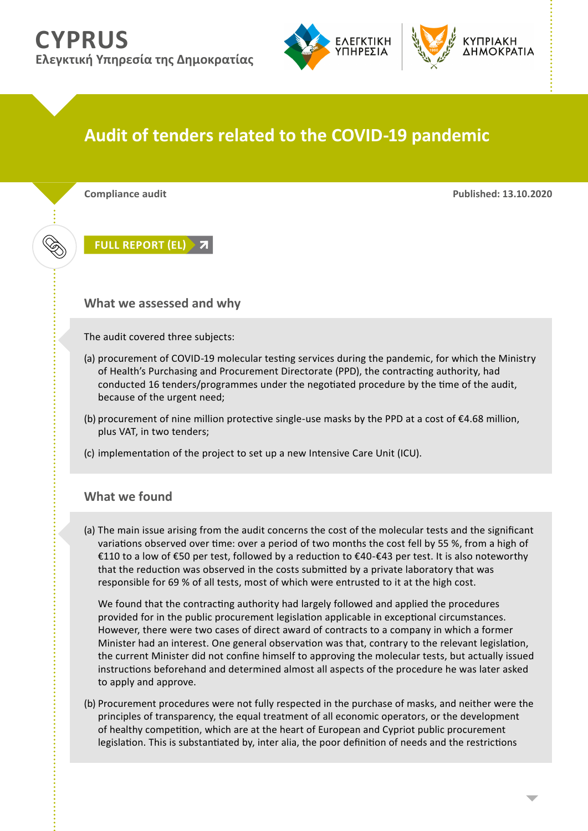## **CYPRUS Ελεγκτική Υπηρεσία της Δημοκρατίας**



## **Audit of tenders related to the COVID-19 pandemic**

**Compliance audit Published: 13.10.2020**

**[FULL REPORT \(EL\)](http://www.audit.gov.cy/audit/audit.nsf/BF5A76C61551CA29C22586000023C4EE/$file/2020 10 13 - %CE%95%CE%9B%CE%95%CE%93%CE%A7%CE%9F%CE%A3 %CE%94%CE%99%CE%91%CE%93%CE%A9%CE%9D%CE%99%CE%A3%CE%9C%CE%A9%CE%9D %CE%A3%CE%A4%CE%97%CE%9D %CE%A0%CE%95%CE%A1%CE%99%CE%9F%CE%94%CE%9F %CE%A0%CE%91%CE%9D%CE%94%CE%97%CE%9C%CE%99%CE%91%CE%A3 COVID-19 %CE%91.pdf)**

**What we assessed and why**

The audit covered three subjects:

- (a) procurement of COVID-19 molecular testing services during the pandemic, for which the Ministry of Health's Purchasing and Procurement Directorate (PPD), the contracting authority, had conducted 16 tenders/programmes under the negotiated procedure by the time of the audit, because of the urgent need;
- (b) procurement of nine million protective single-use masks by the PPD at a cost of  $\epsilon$ 4.68 million, plus VAT, in two tenders;
- (c) implementation of the project to set up a new Intensive Care Unit (ICU).

## **What we found**

(a) The main issue arising from the audit concerns the cost of the molecular tests and the significant variations observed over time: over a period of two months the cost fell by 55 %, from a high of €110 to a low of €50 per test, followed by a reduction to €40-€43 per test. It is also noteworthy that the reduction was observed in the costs submitted by a private laboratory that was responsible for 69 % of all tests, most of which were entrusted to it at the high cost.

 We found that the contracting authority had largely followed and applied the procedures provided for in the public procurement legislation applicable in exceptional circumstances. However, there were two cases of direct award of contracts to a company in which a former Minister had an interest. One general observation was that, contrary to the relevant legislation, the current Minister did not confine himself to approving the molecular tests, but actually issued instructions beforehand and determined almost all aspects of the procedure he was later asked to apply and approve.

(b) Procurement procedures were not fully respected in the purchase of masks, and neither were the principles of transparency, the equal treatment of all economic operators, or the development of healthy competition, which are at the heart of European and Cypriot public procurement legislation. This is substantiated by, inter alia, the poor definition of needs and the restrictions